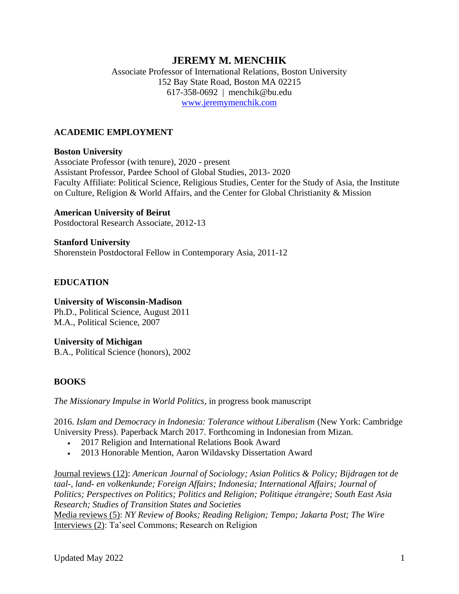# **JEREMY M. MENCHIK**

## Associate Professor of International Relations, Boston University 152 Bay State Road, Boston MA 02215 617-358-0692 | menchik@bu.edu [www.jeremymenchik.com](https://jeremymenchik.com/)

## **ACADEMIC EMPLOYMENT**

### **Boston University**

Associate Professor (with tenure), 2020 - present Assistant Professor, Pardee School of Global Studies, 2013- 2020 Faculty Affiliate: Political Science, Religious Studies, Center for the Study of Asia, the Institute on Culture, Religion & World Affairs, and the Center for Global Christianity & Mission

### **American University of Beirut**

Postdoctoral Research Associate, 2012-13

**Stanford University** Shorenstein Postdoctoral Fellow in Contemporary Asia, 2011-12

## **EDUCATION**

## **University of Wisconsin-Madison**

Ph.D., Political Science, August 2011 M.A., Political Science, 2007

### **University of Michigan**

B.A., Political Science (honors), 2002

## **BOOKS**

*The Missionary Impulse in World Politics*, in progress book manuscript

2016. *Islam and Democracy in Indonesia: Tolerance without Liberalism* (New York: Cambridge University Press). Paperback March 2017. Forthcoming in Indonesian from Mizan.

- 2017 Religion and International Relations Book Award
- 2013 Honorable Mention, Aaron Wildavsky Dissertation Award

Journal reviews (12): *American Journal of Sociology; Asian Politics & Policy; Bijdragen tot de taal-, land- en volkenkunde; Foreign Affairs; Indonesia; International Affairs; Journal of Politics; Perspectives on Politics; Politics and Religion; Politique étrangère; South East Asia Research; Studies of Transition States and Societies*

Media reviews (5): *NY Review of Books; Reading Religion; Tempo; Jakarta Post; The Wire* Interviews (2): Ta'seel Commons; Research on Religion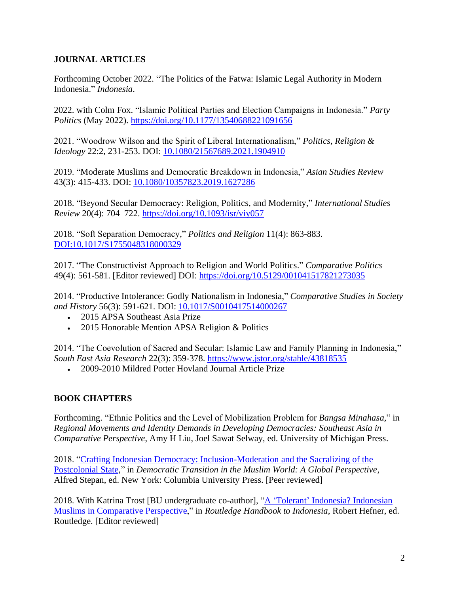## **JOURNAL ARTICLES**

Forthcoming October 2022. "The Politics of the Fatwa: Islamic Legal Authority in Modern Indonesia." *Indonesia*.

2022. with Colm Fox. "Islamic Political Parties and Election Campaigns in Indonesia." *Party Politics* (May 2022).<https://doi.org/10.1177/13540688221091656>

2021. "Woodrow Wilson and the Spirit of Liberal Internationalism," *Politics, Religion & Ideology* 22:2, 231-253. DOI: [10.1080/21567689.2021.1904910](https://www.tandfonline.com/doi/abs/10.1080/21567689.2021.1904910?journalCode=ftmp21)

2019. "Moderate Muslims and Democratic Breakdown in Indonesia," *Asian Studies Review* 43(3): 415-433. DOI: [10.1080/10357823.2019.1627286](https://www.tandfonline.com/doi/abs/10.1080/10357823.2019.1627286?journalCode=casr20)

2018. "Beyond Secular Democracy: Religion, Politics, and Modernity," *International Studies Review* 20(4): 704–722. <https://doi.org/10.1093/isr/viy057>

2018. "Soft Separation Democracy," *Politics and Religion* 11(4): 863-883. [DOI:10.1017/S1755048318000329](https://doi.org/10.1017/S1755048318000329)

2017. "The Constructivist Approach to Religion and World Politics." *Comparative Politics*  49(4): 561-581. [Editor reviewed] DOI: <https://doi.org/10.5129/001041517821273035>

2014. "Productive Intolerance: Godly Nationalism in Indonesia," *Comparative Studies in Society and History* 56(3): 591-621. DOI: [10.1017/S0010417514000267](https://www.cambridge.org/core/journals/comparative-studies-in-society-and-history/article/abs/productive-intolerance-godly-nationalism-in-indonesia/1ACB23B5E548B9EE4DB55C8ED930F7A4)

- 2015 APSA Southeast Asia Prize
- 2015 Honorable Mention APSA Religion & Politics

2014. "The Coevolution of Sacred and Secular: Islamic Law and Family Planning in Indonesia," *South East Asia Research* 22(3): 359-378.<https://www.jstor.org/stable/43818535>

• 2009-2010 Mildred Potter Hovland Journal Article Prize

## **BOOK CHAPTERS**

Forthcoming. "Ethnic Politics and the Level of Mobilization Problem for *Bangsa Minahasa,*" in *Regional Movements and Identity Demands in Developing Democracies: Southeast Asia in Comparative Perspective*, Amy H Liu, Joel Sawat Selway, ed. University of Michigan Press.

2018. ["Crafting Indonesian Democracy: Inclusion-Moderation and the Sacralizing of the](https://jeremymenchik.files.wordpress.com/2018/06/2018-03-inclusion-moderation-menchik-indonesia-copy.pdf)  [Postcolonial State,](https://jeremymenchik.files.wordpress.com/2018/06/2018-03-inclusion-moderation-menchik-indonesia-copy.pdf)" in *Democratic Transition in the Muslim World: A Global Perspective*, Alfred Stepan, ed. New York: Columbia University Press. [Peer reviewed]

2018. With Katrina Trost [BU undergraduate co-author], "A 'Tolerant' [Indonesia? Indonesian](https://jeremymenchik.files.wordpress.com/2017/05/menchik_trost_indonesian_muslims_tolerance.pdf)  [Muslims in Comparative Perspective,](https://jeremymenchik.files.wordpress.com/2017/05/menchik_trost_indonesian_muslims_tolerance.pdf)" in *Routledge Handbook to Indonesia*, Robert Hefner, ed. Routledge. [Editor reviewed]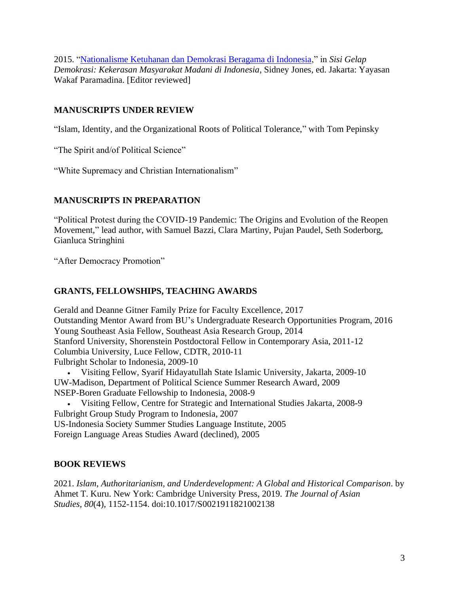2015. ["Nationalisme Ketuhanan dan Demokrasi Beragama di Indonesia,](https://jeremymenchik.files.wordpress.com/2015/09/nmml-vii-sidney-final-draft.pdf)" in *Sisi Gelap Demokrasi: Kekerasan Masyarakat Madani di Indonesia*, Sidney Jones, ed. Jakarta: Yayasan Wakaf Paramadina. [Editor reviewed]

## **MANUSCRIPTS UNDER REVIEW**

"Islam, Identity, and the Organizational Roots of Political Tolerance," with Tom Pepinsky

"The Spirit and/of Political Science"

"White Supremacy and Christian Internationalism"

## **MANUSCRIPTS IN PREPARATION**

"Political Protest during the COVID-19 Pandemic: The Origins and Evolution of the Reopen Movement," lead author, with Samuel Bazzi, Clara Martiny, Pujan Paudel, Seth Soderborg, Gianluca Stringhini

"After Democracy Promotion"

## **GRANTS, FELLOWSHIPS, TEACHING AWARDS**

Gerald and Deanne Gitner Family Prize for Faculty Excellence, 2017 Outstanding Mentor Award from BU's Undergraduate Research Opportunities Program, 2016 Young Southeast Asia Fellow, Southeast Asia Research Group, 2014 Stanford University, Shorenstein Postdoctoral Fellow in Contemporary Asia, 2011-12 Columbia University, Luce Fellow, CDTR, 2010-11 Fulbright Scholar to Indonesia, 2009-10

• Visiting Fellow, Syarif Hidayatullah State Islamic University, Jakarta, 2009-10 UW-Madison, Department of Political Science Summer Research Award, 2009 NSEP-Boren Graduate Fellowship to Indonesia, 2008-9

• Visiting Fellow, Centre for Strategic and International Studies Jakarta, 2008-9 Fulbright Group Study Program to Indonesia, 2007 US-Indonesia Society Summer Studies Language Institute, 2005

Foreign Language Areas Studies Award (declined), 2005

## **BOOK REVIEWS**

2021. *Islam, Authoritarianism, and Underdevelopment: A Global and Historical Comparison*. by Ahmet T. Kuru. New York: Cambridge University Press, 2019. *The Journal of Asian Studies, 80*(4), 1152-1154. doi:10.1017/S0021911821002138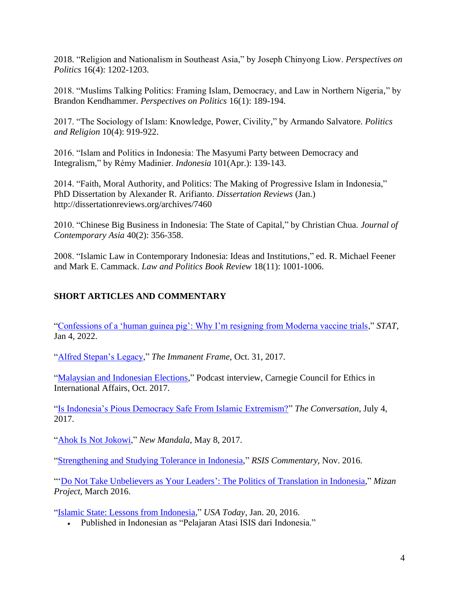2018. "Religion and Nationalism in Southeast Asia," by Joseph Chinyong Liow. *Perspectives on Politics* 16(4): 1202-1203.

2018. "Muslims Talking Politics: Framing Islam, Democracy, and Law in Northern Nigeria," by Brandon Kendhammer. *Perspectives on Politics* 16(1): 189-194.

2017. "The Sociology of Islam: Knowledge, Power, Civility," by Armando Salvatore. *Politics and Religion* 10(4): 919-922.

2016. "Islam and Politics in Indonesia: The Masyumi Party between Democracy and Integralism," by Rémy Madinier. *Indonesia* 101(Apr.): 139-143.

2014. "Faith, Moral Authority, and Politics: The Making of Progressive Islam in Indonesia," PhD Dissertation by Alexander R. Arifianto. *Dissertation Reviews* (Jan.) http://dissertationreviews.org/archives/7460

2010. "Chinese Big Business in Indonesia: The State of Capital," by Christian Chua. *Journal of Contemporary Asia* 40(2): 356-358.

2008. "Islamic Law in Contemporary Indonesia: Ideas and Institutions," ed. R. Michael Feener and Mark E. Cammack. *Law and Politics Book Review* 18(11): 1001-1006.

## **SHORT ARTICLES AND COMMENTARY**

["Confessions of a 'human guinea pig': Why I'm resigning from Moderna vaccine trials,](https://www.statnews.com/2022/01/04/confessions-vaccine-guinea-pig-im-resigning-from-moderna-vaccine-trials/)" *STAT*, Jan 4, 2022.

["Alfred Stepan's Legacy,](https://tif.ssrc.org/2017/10/31/alfred-stepans-legacy/)" *The Immanent Frame*, Oct. 31, 2017.

["Malaysian and Indonesian Elections,](https://www.carnegiecouncil.org/media/series/asia/20180924-malaysian-indonesian-elections-jeremy-menchik-meredith-weiss)" Podcast interview, Carnegie Council for Ethics in International Affairs, Oct. 2017.

["Is Indonesia's Pious Democracy Safe From Islamic Extremism?"](http://theconversation.com/is-indonesias-pious-democracy-safe-from-islamic-extremism-79239) *The Conversation*, July 4, 2017.

["Ahok Is Not Jokowi,](http://www.newmandala.org/ahok-not-jokowi/)" *New Mandala*, May 8, 2017.

["Strengthening and Studying Tolerance in Indonesia,](http://www.bu.edu/pardeeschool/files/2016/12/CO16294.pdf)" *RSIS Commentary,* Nov. 2016.

"'Do [Not Take Unbelievers as Your Leaders': The Politics of Translation in Indonesia,](http://www.mizanproject.org/do-not-take-unbelievers-as-your-leaders/)" *Mizan Project*, March 2016.

["Islamic State: Lessons from Indonesia,](http://www.usatoday.com/story/opinion/2016/01/20/islamic-state-lessons-jakarta-indonesia-column/79012170/)" *USA Today*, Jan. 20, 2016.

• Published in Indonesian as "Pelajaran Atasi ISIS dari Indonesia."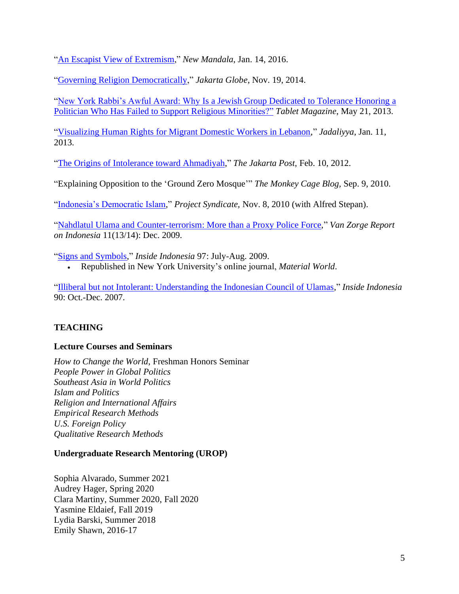["An Escapist View of Extremism,](http://asiapacific.anu.edu.au/newmandala/2016/01/14/an-escapist-view-of-extremism/)" *New Mandala*, Jan. 14, 2016.

["Governing Religion Democratically,](http://thejakartaglobe.beritasatu.com/opinion/governing-religion-democratically-indonesia/)" *Jakarta Globe*, Nov. 19, 2014.

["New York Rabbi's Awful Award: Why Is a Jewish Group Dedicated to Tolerance Honoring a](http://www.tabletmag.com/jewish-news-and-politics/132741/new-york-rabbis-awful-award)  [Politician Who Has Failed to Support Religious Minorities?"](http://www.tabletmag.com/jewish-news-and-politics/132741/new-york-rabbis-awful-award) *Tablet Magazine*, May 21, 2013.

["Visualizing Human Rights for Migrant Domestic Workers in Lebanon,](http://www.jadaliyya.com/pages/index/9214/visualizing-human-rights-for-migrant-domestic-work)" *Jadaliyya*, Jan. 11, 2013.

["The Origins of Intolerance toward Ahmadiyah,](http://www.thejakartapost.com/news/2012/02/10/the-origins-intolerance-ward-ahmadiyah.html)" *The Jakarta Post*, Feb. 10, 2012.

"Explaining Opposition to the 'Ground Zero Mosque'" *The Monkey Cage Blog,* Sep. 9, 2010.

["Indonesia's Democratic Islam,](https://www.project-syndicate.org/commentary/indonesia-s-democratic-islam)" *Project Syndicate,* Nov. 8, 2010 (with Alfred Stepan).

["Nahdlatul Ulama and Counter-terrorism: More than a Proxy Police Force,](http://jeremymenchik.files.wordpress.com/2010/02/nu_cgctc.pdf)" *Van Zorge Report on Indonesia* 11(13/14): Dec. 2009.

["Signs and Symbols,](http://www.insideindonesia.org/feature-editions/symbols-and-signs)" *Inside Indonesia* 97: July-Aug. 2009.

• Republished in New York University's online journal, *Material World*.

["Illiberal but not Intolerant: Understanding the Indonesian Council of Ulamas,](http://www.insideindonesia.org/weekly-articles/illiberal-but-not-intolerant)" *Inside Indonesia*  90: Oct.-Dec. 2007.

## **TEACHING**

### **Lecture Courses and Seminars**

*How to Change the World*, Freshman Honors Seminar *People Power in Global Politics Southeast Asia in World Politics Islam and Politics Religion and International Affairs Empirical Research Methods U.S. Foreign Policy Qualitative Research Methods*

### **Undergraduate Research Mentoring (UROP)**

Sophia Alvarado, Summer 2021 Audrey Hager, Spring 2020 Clara Martiny, Summer 2020, Fall 2020 Yasmine Eldaief, Fall 2019 Lydia Barski, Summer 2018 Emily Shawn, 2016-17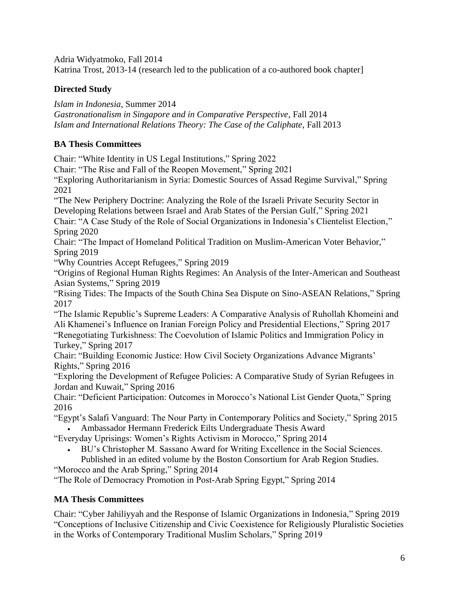Adria Widyatmoko, Fall 2014

Katrina Trost, 2013-14 (research led to the publication of a co-authored book chapter]

# **Directed Study**

*Islam in Indonesia*, Summer 2014

*Gastronationalism in Singapore and in Comparative Perspective*, Fall 2014 *Islam and International Relations Theory: The Case of the Caliphate*, Fall 2013

# **BA Thesis Committees**

Chair: "White Identity in US Legal Institutions," Spring 2022

Chair: "The Rise and Fall of the Reopen Movement," Spring 2021

"Exploring Authoritarianism in Syria: Domestic Sources of Assad Regime Survival," Spring 2021

"The New Periphery Doctrine: Analyzing the Role of the Israeli Private Security Sector in Developing Relations between Israel and Arab States of the Persian Gulf," Spring 2021

Chair: "A Case Study of the Role of Social Organizations in Indonesia's Clientelist Election," Spring 2020

Chair: "The Impact of Homeland Political Tradition on Muslim-American Voter Behavior," Spring 2019

"Why Countries Accept Refugees," Spring 2019

"Origins of Regional Human Rights Regimes: An Analysis of the Inter-American and Southeast Asian Systems," Spring 2019

"Rising Tides: The Impacts of the South China Sea Dispute on Sino-ASEAN Relations," Spring 2017

"The Islamic Republic's Supreme Leaders: A Comparative Analysis of Ruhollah Khomeini and Ali Khamenei's Influence on Iranian Foreign Policy and Presidential Elections," Spring 2017 "Renegotiating Turkishness: The Coevolution of Islamic Politics and Immigration Policy in Turkey," Spring 2017

Chair: "Building Economic Justice: How Civil Society Organizations Advance Migrants' Rights," Spring 2016

"Exploring the Development of Refugee Policies: A Comparative Study of Syrian Refugees in Jordan and Kuwait," Spring 2016

Chair: "Deficient Participation: Outcomes in Morocco's National List Gender Quota," Spring 2016

"Egypt's Salafi Vanguard: The Nour Party in Contemporary Politics and Society," Spring 2015

• Ambassador Hermann Frederick Eilts Undergraduate Thesis Award

- "Everyday Uprisings: Women's Rights Activism in Morocco," Spring 2014
	- BU's Christopher M. Sassano Award for Writing Excellence in the Social Sciences. Published in an edited volume by the Boston Consortium for Arab Region Studies.

"Morocco and the Arab Spring," Spring 2014

"The Role of Democracy Promotion in Post-Arab Spring Egypt," Spring 2014

# **MA Thesis Committees**

Chair: "Cyber Jahiliyyah and the Response of Islamic Organizations in Indonesia," Spring 2019 "Conceptions of Inclusive Citizenship and Civic Coexistence for Religiously Pluralistic Societies in the Works of Contemporary Traditional Muslim Scholars," Spring 2019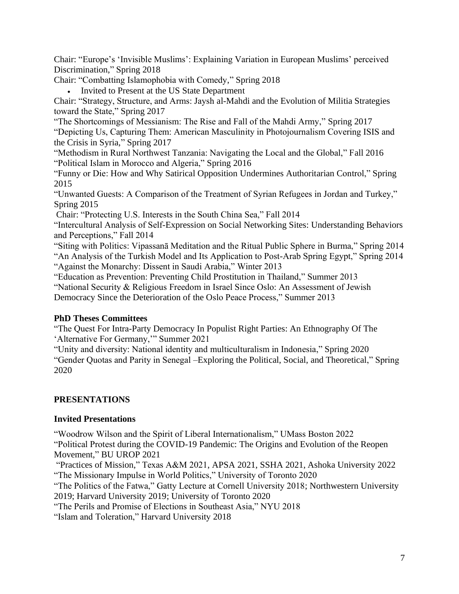Chair: "Europe's 'Invisible Muslims': Explaining Variation in European Muslims' perceived Discrimination," Spring 2018

Chair: "Combatting Islamophobia with Comedy," Spring 2018

• Invited to Present at the US State Department

Chair: "Strategy, Structure, and Arms: Jaysh al-Mahdi and the Evolution of Militia Strategies toward the State," Spring 2017

"The Shortcomings of Messianism: The Rise and Fall of the Mahdi Army," Spring 2017 "Depicting Us, Capturing Them: American Masculinity in Photojournalism Covering ISIS and the Crisis in Syria," Spring 2017

"Methodism in Rural Northwest Tanzania: Navigating the Local and the Global," Fall 2016 "Political Islam in Morocco and Algeria," Spring 2016

"Funny or Die: How and Why Satirical Opposition Undermines Authoritarian Control," Spring 2015

"Unwanted Guests: A Comparison of the Treatment of Syrian Refugees in Jordan and Turkey," Spring 2015

Chair: "Protecting U.S. Interests in the South China Sea," Fall 2014

"Intercultural Analysis of Self-Expression on Social Networking Sites: Understanding Behaviors and Perceptions," Fall 2014

"Siting with Politics: Vipassanā Meditation and the Ritual Public Sphere in Burma," Spring 2014 "An Analysis of the Turkish Model and Its Application to Post-Arab Spring Egypt," Spring 2014 "Against the Monarchy: Dissent in Saudi Arabia," Winter 2013

"Education as Prevention: Preventing Child Prostitution in Thailand," Summer 2013

"National Security & Religious Freedom in Israel Since Oslo: An Assessment of Jewish

Democracy Since the Deterioration of the Oslo Peace Process," Summer 2013

# **PhD Theses Committees**

"The Quest For Intra-Party Democracy In Populist Right Parties: An Ethnography Of The 'Alternative For Germany,'" Summer 2021

"Unity and diversity: National identity and multiculturalism in Indonesia," Spring 2020 "Gender Quotas and Parity in Senegal –Exploring the Political, Social, and Theoretical," Spring 2020

# **PRESENTATIONS**

# **Invited Presentations**

"Woodrow Wilson and the Spirit of Liberal Internationalism," UMass Boston 2022

"Political Protest during the COVID-19 Pandemic: The Origins and Evolution of the Reopen Movement," BU UROP 2021

"Practices of Mission," Texas A&M 2021, APSA 2021, SSHA 2021, Ashoka University 2022 "The Missionary Impulse in World Politics," University of Toronto 2020

"The Politics of the Fatwa," Gatty Lecture at Cornell University 2018; Northwestern University 2019; Harvard University 2019; University of Toronto 2020

"The Perils and Promise of Elections in Southeast Asia," NYU 2018

"Islam and Toleration," Harvard University 2018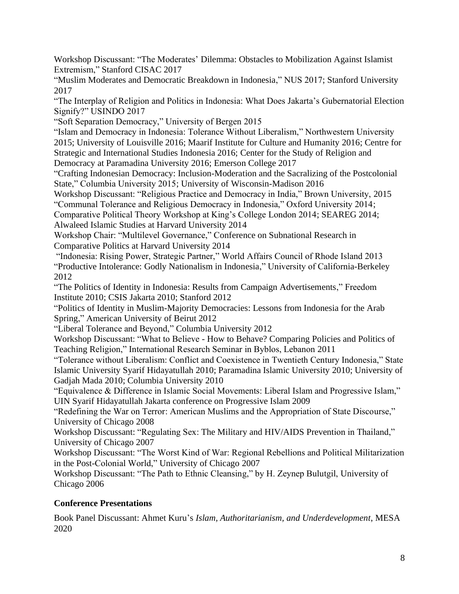Workshop Discussant: "The Moderates' Dilemma: Obstacles to Mobilization Against Islamist Extremism," Stanford CISAC 2017

"Muslim Moderates and Democratic Breakdown in Indonesia," NUS 2017; Stanford University 2017

"The Interplay of Religion and Politics in Indonesia: What Does Jakarta's Gubernatorial Election Signify?" USINDO 2017

"Soft Separation Democracy," University of Bergen 2015

"Islam and Democracy in Indonesia: Tolerance Without Liberalism," Northwestern University 2015; University of Louisville 2016; Maarif Institute for Culture and Humanity 2016; Centre for Strategic and International Studies Indonesia 2016; Center for the Study of Religion and Democracy at Paramadina University 2016; Emerson College 2017

"Crafting Indonesian Democracy: Inclusion-Moderation and the Sacralizing of the Postcolonial State," Columbia University 2015; University of Wisconsin-Madison 2016

Workshop Discussant: "Religious Practice and Democracy in India," Brown University, 2015 "Communal Tolerance and Religious Democracy in Indonesia," Oxford University 2014; Comparative Political Theory Workshop at King's College London 2014; SEAREG 2014;

Alwaleed Islamic Studies at Harvard University 2014

Workshop Chair: "Multilevel Governance," Conference on Subnational Research in Comparative Politics at Harvard University 2014

"Indonesia: Rising Power, Strategic Partner," World Affairs Council of Rhode Island 2013 "Productive Intolerance: Godly Nationalism in Indonesia," University of California-Berkeley 2012

"The Politics of Identity in Indonesia: Results from Campaign Advertisements," Freedom Institute 2010; CSIS Jakarta 2010; Stanford 2012

"Politics of Identity in Muslim-Majority Democracies: Lessons from Indonesia for the Arab Spring," American University of Beirut 2012

"Liberal Tolerance and Beyond," Columbia University 2012

Workshop Discussant: "What to Believe - How to Behave? Comparing Policies and Politics of Teaching Religion," International Research Seminar in Byblos, Lebanon 2011

"Tolerance without Liberalism: Conflict and Coexistence in Twentieth Century Indonesia," State Islamic University Syarif Hidayatullah 2010; Paramadina Islamic University 2010; University of Gadjah Mada 2010; Columbia University 2010

"Equivalence & Difference in Islamic Social Movements: Liberal Islam and Progressive Islam," UIN Syarif Hidayatullah Jakarta conference on Progressive Islam 2009

"Redefining the War on Terror: American Muslims and the Appropriation of State Discourse," University of Chicago 2008

Workshop Discussant: "Regulating Sex: The Military and HIV/AIDS Prevention in Thailand," University of Chicago 2007

Workshop Discussant: "The Worst Kind of War: Regional Rebellions and Political Militarization in the Post-Colonial World," University of Chicago 2007

Workshop Discussant: "The Path to Ethnic Cleansing," by H. Zeynep Bulutgil, University of Chicago 2006

# **Conference Presentations**

Book Panel Discussant: Ahmet Kuru's *Islam, Authoritarianism, and Underdevelopment*, MESA 2020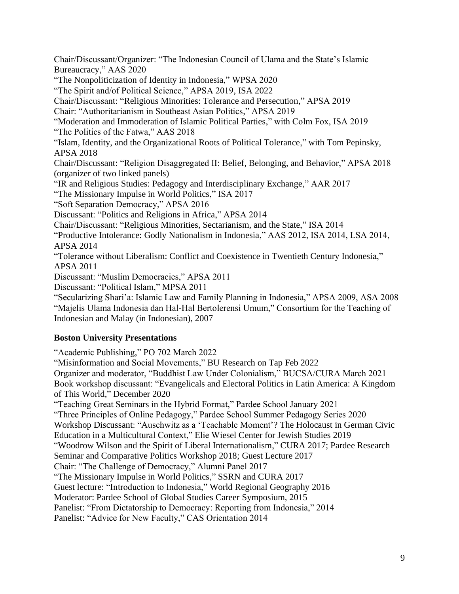Chair/Discussant/Organizer: "The Indonesian Council of Ulama and the State's Islamic Bureaucracy," AAS 2020 "The Nonpoliticization of Identity in Indonesia," WPSA 2020 "The Spirit and/of Political Science," APSA 2019, ISA 2022 Chair/Discussant: "Religious Minorities: Tolerance and Persecution," APSA 2019 Chair: "Authoritarianism in Southeast Asian Politics," APSA 2019 "Moderation and Immoderation of Islamic Political Parties," with Colm Fox, ISA 2019 "The Politics of the Fatwa," AAS 2018 "Islam, Identity, and the Organizational Roots of Political Tolerance," with Tom Pepinsky, APSA 2018 Chair/Discussant: "Religion Disaggregated II: Belief, Belonging, and Behavior," APSA 2018 (organizer of two linked panels) "IR and Religious Studies: Pedagogy and Interdisciplinary Exchange," AAR 2017 "The Missionary Impulse in World Politics," ISA 2017 "Soft Separation Democracy," APSA 2016 Discussant: "Politics and Religions in Africa," APSA 2014 Chair/Discussant: "Religious Minorities, Sectarianism, and the State," ISA 2014 "Productive Intolerance: Godly Nationalism in Indonesia," AAS 2012, ISA 2014, LSA 2014, APSA 2014 "Tolerance without Liberalism: Conflict and Coexistence in Twentieth Century Indonesia," APSA 2011 Discussant: "Muslim Democracies," APSA 2011 Discussant: "Political Islam," MPSA 2011 "Secularizing Shari'a: Islamic Law and Family Planning in Indonesia," APSA 2009, ASA 2008 "Majelis Ulama Indonesia dan Hal-Hal Bertolerensi Umum," Consortium for the Teaching of Indonesian and Malay (in Indonesian), 2007

# **Boston University Presentations**

"Academic Publishing," PO 702 March 2022

"Misinformation and Social Movements," BU Research on Tap Feb 2022 Organizer and moderator, "Buddhist Law Under Colonialism," BUCSA/CURA March 2021 Book workshop discussant: "Evangelicals and Electoral Politics in Latin America: A Kingdom of This World," December 2020 "Teaching Great Seminars in the Hybrid Format," Pardee School January 2021 "Three Principles of Online Pedagogy," Pardee School Summer Pedagogy Series 2020 Workshop Discussant: "Auschwitz as a 'Teachable Moment'? The Holocaust in German Civic Education in a Multicultural Context," Elie Wiesel Center for Jewish Studies 2019 "Woodrow Wilson and the Spirit of Liberal Internationalism," CURA 2017; Pardee Research Seminar and Comparative Politics Workshop 2018; Guest Lecture 2017 Chair: "The Challenge of Democracy," Alumni Panel 2017 "The Missionary Impulse in World Politics," SSRN and CURA 2017 Guest lecture: "Introduction to Indonesia," World Regional Geography 2016 Moderator: Pardee School of Global Studies Career Symposium, 2015 Panelist: "From Dictatorship to Democracy: Reporting from Indonesia," 2014 Panelist: "Advice for New Faculty," CAS Orientation 2014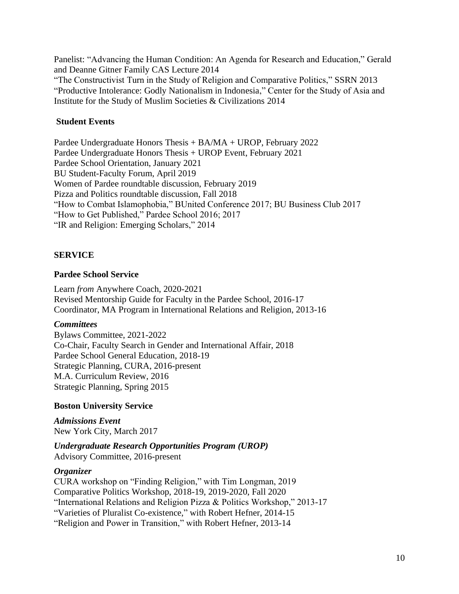Panelist: "Advancing the Human Condition: An Agenda for Research and Education," Gerald and Deanne Gitner Family CAS Lecture 2014 "The Constructivist Turn in the Study of Religion and Comparative Politics," SSRN 2013 "Productive Intolerance: Godly Nationalism in Indonesia," Center for the Study of Asia and Institute for the Study of Muslim Societies & Civilizations 2014

#### **Student Events**

Pardee Undergraduate Honors Thesis + BA/MA + UROP, February 2022 Pardee Undergraduate Honors Thesis + UROP Event, February 2021 Pardee School Orientation, January 2021 BU Student-Faculty Forum, April 2019 Women of Pardee roundtable discussion, February 2019 Pizza and Politics roundtable discussion, Fall 2018 "How to Combat Islamophobia," BUnited Conference 2017; BU Business Club 2017 "How to Get Published," Pardee School 2016; 2017 "IR and Religion: Emerging Scholars," 2014

#### **SERVICE**

#### **Pardee School Service**

Learn *from* Anywhere Coach, 2020-2021 Revised Mentorship Guide for Faculty in the Pardee School, 2016-17 Coordinator, MA Program in International Relations and Religion, 2013-16

#### *Committees*

Bylaws Committee, 2021-2022 Co-Chair, Faculty Search in Gender and International Affair, 2018 Pardee School General Education, 2018-19 Strategic Planning, CURA, 2016-present M.A. Curriculum Review, 2016 Strategic Planning, Spring 2015

#### **Boston University Service**

*Admissions Event* New York City, March 2017

*Undergraduate Research Opportunities Program (UROP)*  Advisory Committee, 2016-present

#### *Organizer*

CURA workshop on "Finding Religion," with Tim Longman, 2019 Comparative Politics Workshop, 2018-19, 2019-2020, Fall 2020 "International Relations and Religion Pizza & Politics Workshop," 2013-17 "Varieties of Pluralist Co-existence," with Robert Hefner, 2014-15 "Religion and Power in Transition," with Robert Hefner, 2013-14